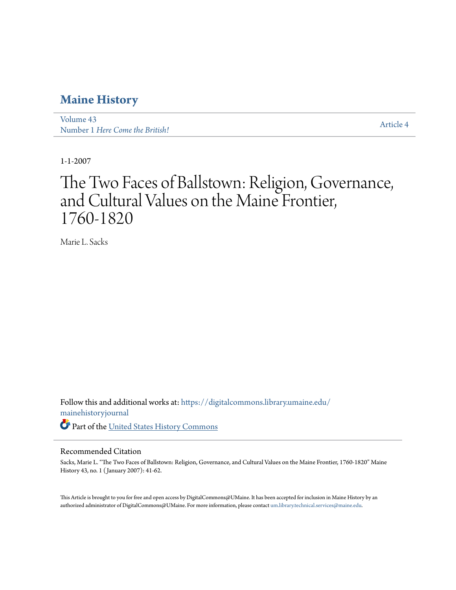### **[Maine History](https://digitalcommons.library.umaine.edu/mainehistoryjournal?utm_source=digitalcommons.library.umaine.edu%2Fmainehistoryjournal%2Fvol43%2Fiss1%2F4&utm_medium=PDF&utm_campaign=PDFCoverPages)**

[Volume 43](https://digitalcommons.library.umaine.edu/mainehistoryjournal/vol43?utm_source=digitalcommons.library.umaine.edu%2Fmainehistoryjournal%2Fvol43%2Fiss1%2F4&utm_medium=PDF&utm_campaign=PDFCoverPages) Number 1 *[Here Come the British!](https://digitalcommons.library.umaine.edu/mainehistoryjournal/vol43/iss1?utm_source=digitalcommons.library.umaine.edu%2Fmainehistoryjournal%2Fvol43%2Fiss1%2F4&utm_medium=PDF&utm_campaign=PDFCoverPages)* [Article 4](https://digitalcommons.library.umaine.edu/mainehistoryjournal/vol43/iss1/4?utm_source=digitalcommons.library.umaine.edu%2Fmainehistoryjournal%2Fvol43%2Fiss1%2F4&utm_medium=PDF&utm_campaign=PDFCoverPages)

1-1-2007

# The Two Faces of Ballstown: Religion, Governance, and Cultural Values on the Maine Frontier, 1760-1820

Marie L. Sacks

Follow this and additional works at: [https://digitalcommons.library.umaine.edu/](https://digitalcommons.library.umaine.edu/mainehistoryjournal?utm_source=digitalcommons.library.umaine.edu%2Fmainehistoryjournal%2Fvol43%2Fiss1%2F4&utm_medium=PDF&utm_campaign=PDFCoverPages) [mainehistoryjournal](https://digitalcommons.library.umaine.edu/mainehistoryjournal?utm_source=digitalcommons.library.umaine.edu%2Fmainehistoryjournal%2Fvol43%2Fiss1%2F4&utm_medium=PDF&utm_campaign=PDFCoverPages) Part of the [United States History Commons](http://network.bepress.com/hgg/discipline/495?utm_source=digitalcommons.library.umaine.edu%2Fmainehistoryjournal%2Fvol43%2Fiss1%2F4&utm_medium=PDF&utm_campaign=PDFCoverPages)

#### Recommended Citation

Sacks, Marie L. "The Two Faces of Ballstown: Religion, Governance, and Cultural Values on the Maine Frontier, 1760-1820" Maine History 43, no. 1 ( January 2007): 41-62.

This Article is brought to you for free and open access by DigitalCommons@UMaine. It has been accepted for inclusion in Maine History by an authorized administrator of DigitalCommons@UMaine. For more information, please contact [um.library.technical.services@maine.edu.](mailto:um.library.technical.services@maine.edu)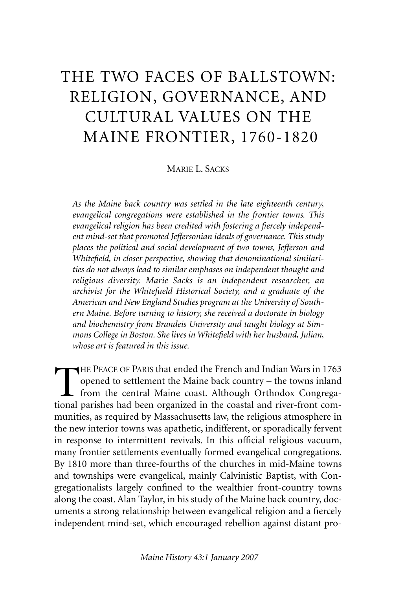## THE TWO FACES OF BALLSTOWN: RELIGION, GOVERNANCE, AND CULTURAL VALUES ON THE MAINE FRONTIER, 1760-1820

MARIE L. SACKS

*As the Maine back country was settled in the late eighteenth century, evangelical congregations were established in the frontier towns. This evangelical religion has been credited with fostering a fiercely independent mind-set that promoted Jeffersonian ideals of governance. This study places the political and social development of two towns, Jefferson and Whitefield, in closer perspective, showing that denominational similarities do not always lead to similar emphases on independent thought and religious diversity. Marie Sacks is an independent researcher, an archivist for the Whitefueld Historical Society, and a graduate of the American and New England Studies program at the University of Southern Maine. Before turning to history, she received a doctorate in biology and biochemistry from Brandeis University and taught biology at Simmons College in Boston. She lives in Whitefield with her husband, Julian, whose art is featured in this issue.*

THE PEACE OF PARIS that ended the French and Indian Wars in 1763<br>opened to settlement the Maine back country – the towns inland<br>from the central Maine coast. Although Orthodox Congrega-<br>tional parishes had been organized i opened to settlement the Maine back country – the towns inland from the central Maine coast. Although Orthodox Congregational parishes had been organized in the coastal and river-front communities, as required by Massachusetts law, the religious atmosphere in the new interior towns was apathetic, indifferent, or sporadically fervent in response to intermittent revivals. In this official religious vacuum, many frontier settlements eventually formed evangelical congregations. By 1810 more than three-fourths of the churches in mid-Maine towns and townships were evangelical, mainly Calvinistic Baptist, with Congregationalists largely confined to the wealthier front-country towns along the coast. Alan Taylor, in his study of the Maine back country, documents a strong relationship between evangelical religion and a fiercely independent mind-set, which encouraged rebellion against distant pro-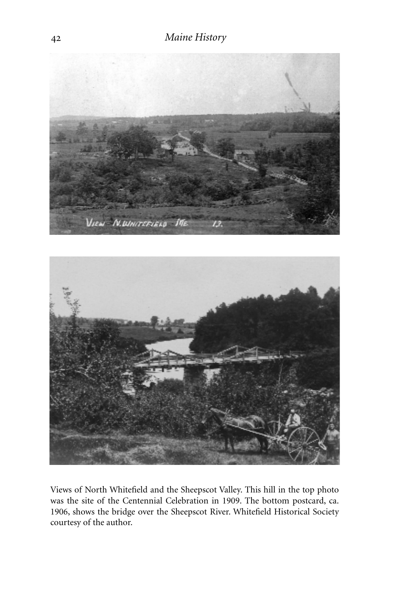

Views of North Whitefield and the Sheepscot Valley. This hill in the top photo was the site of the Centennial Celebration in 1909. The bottom postcard, ca. 1906, shows the bridge over the Sheepscot River. Whitefield Historical Society courtesy of the author.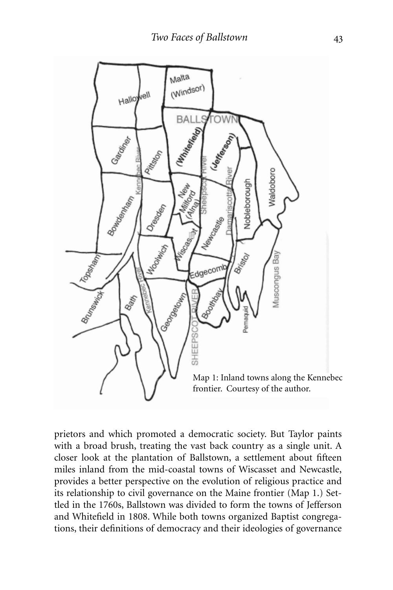

prietors and which promoted a democratic society. But Taylor paints with a broad brush, treating the vast back country as a single unit. A closer look at the plantation of Ballstown, a settlement about fifteen miles inland from the mid-coastal towns of Wiscasset and Newcastle, provides a better perspective on the evolution of religious practice and its relationship to civil governance on the Maine frontier (Map 1.) Settled in the 1760s, Ballstown was divided to form the towns of Jefferson and Whitefield in 1808. While both towns organized Baptist congregations, their definitions of democracy and their ideologies of governance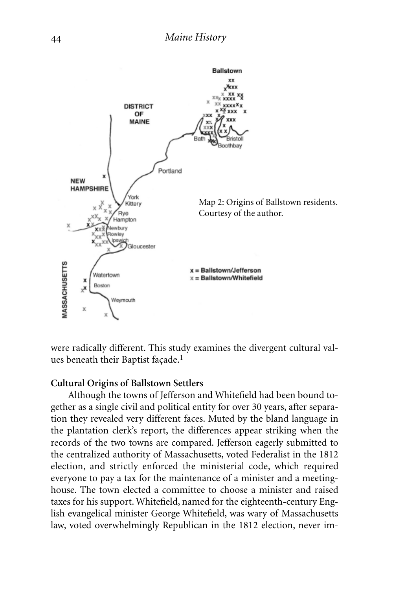

were radically different. This study examines the divergent cultural values beneath their Baptist façade.<sup>1</sup>

#### **Cultural Origins of Ballstown Settlers**

Although the towns of Jefferson and Whitefield had been bound together as a single civil and political entity for over 30 years, after separation they revealed very different faces. Muted by the bland language in the plantation clerk's report, the differences appear striking when the records of the two towns are compared. Jefferson eagerly submitted to the centralized authority of Massachusetts, voted Federalist in the 1812 election, and strictly enforced the ministerial code, which required everyone to pay a tax for the maintenance of a minister and a meetinghouse. The town elected a committee to choose a minister and raised taxes for his support. Whitefield, named for the eighteenth-century English evangelical minister George Whitefield, was wary of Massachusetts law, voted overwhelmingly Republican in the 1812 election, never im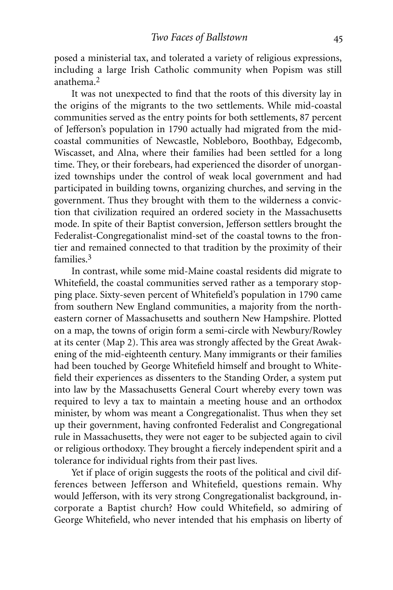posed a ministerial tax, and tolerated a variety of religious expressions, including a large Irish Catholic community when Popism was still anathema.2

It was not unexpected to find that the roots of this diversity lay in the origins of the migrants to the two settlements. While mid-coastal communities served as the entry points for both settlements, 87 percent of Jefferson's population in 1790 actually had migrated from the midcoastal communities of Newcastle, Nobleboro, Boothbay, Edgecomb, Wiscasset, and Alna, where their families had been settled for a long time. They, or their forebears, had experienced the disorder of unorganized townships under the control of weak local government and had participated in building towns, organizing churches, and serving in the government. Thus they brought with them to the wilderness a conviction that civilization required an ordered society in the Massachusetts mode. In spite of their Baptist conversion, Jefferson settlers brought the Federalist-Congregationalist mind-set of the coastal towns to the frontier and remained connected to that tradition by the proximity of their families.3

In contrast, while some mid-Maine coastal residents did migrate to Whitefield, the coastal communities served rather as a temporary stopping place. Sixty-seven percent of Whitefield's population in 1790 came from southern New England communities, a majority from the northeastern corner of Massachusetts and southern New Hampshire. Plotted on a map, the towns of origin form a semi-circle with Newbury/Rowley at its center (Map 2). This area was strongly affected by the Great Awakening of the mid-eighteenth century. Many immigrants or their families had been touched by George Whitefield himself and brought to Whitefield their experiences as dissenters to the Standing Order, a system put into law by the Massachusetts General Court whereby every town was required to levy a tax to maintain a meeting house and an orthodox minister, by whom was meant a Congregationalist. Thus when they set up their government, having confronted Federalist and Congregational rule in Massachusetts, they were not eager to be subjected again to civil or religious orthodoxy. They brought a fiercely independent spirit and a tolerance for individual rights from their past lives.

Yet if place of origin suggests the roots of the political and civil differences between Jefferson and Whitefield, questions remain. Why would Jefferson, with its very strong Congregationalist background, incorporate a Baptist church? How could Whitefield, so admiring of George Whitefield, who never intended that his emphasis on liberty of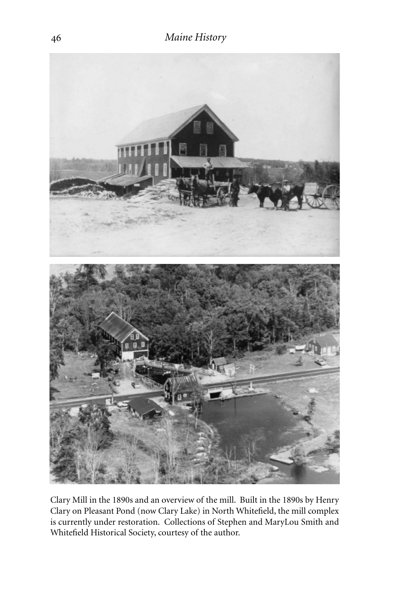

Clary Mill in the 1890s and an overview of the mill. Built in the 1890s by Henry Clary on Pleasant Pond (now Clary Lake) in North Whitefield, the mill complex is currently under restoration. Collections of Stephen and MaryLou Smith and Whitefield Historical Society, courtesy of the author.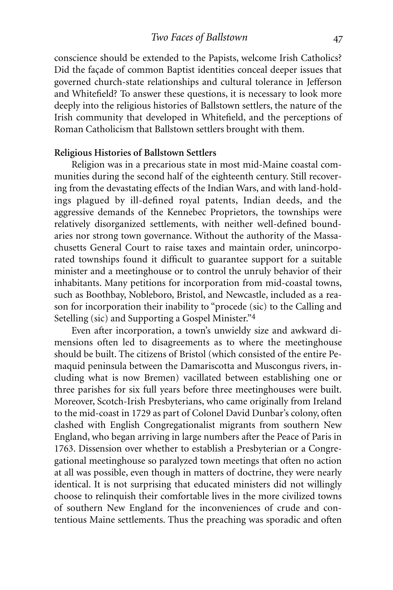conscience should be extended to the Papists, welcome Irish Catholics? Did the façade of common Baptist identities conceal deeper issues that governed church-state relationships and cultural tolerance in Jefferson and Whitefield? To answer these questions, it is necessary to look more deeply into the religious histories of Ballstown settlers, the nature of the Irish community that developed in Whitefield, and the perceptions of Roman Catholicism that Ballstown settlers brought with them.

#### **Religious Histories of Ballstown Settlers**

Religion was in a precarious state in most mid-Maine coastal communities during the second half of the eighteenth century. Still recovering from the devastating effects of the Indian Wars, and with land-holdings plagued by ill-defined royal patents, Indian deeds, and the aggressive demands of the Kennebec Proprietors, the townships were relatively disorganized settlements, with neither well-defined boundaries nor strong town governance. Without the authority of the Massachusetts General Court to raise taxes and maintain order, unincorporated townships found it difficult to guarantee support for a suitable minister and a meetinghouse or to control the unruly behavior of their inhabitants. Many petitions for incorporation from mid-coastal towns, such as Boothbay, Nobleboro, Bristol, and Newcastle, included as a reason for incorporation their inability to "procede (sic) to the Calling and Setelling (sic) and Supporting a Gospel Minister."4

Even after incorporation, a town's unwieldy size and awkward dimensions often led to disagreements as to where the meetinghouse should be built. The citizens of Bristol (which consisted of the entire Pemaquid peninsula between the Damariscotta and Muscongus rivers, including what is now Bremen) vacillated between establishing one or three parishes for six full years before three meetinghouses were built. Moreover, Scotch-Irish Presbyterians, who came originally from Ireland to the mid-coast in 1729 as part of Colonel David Dunbar's colony, often clashed with English Congregationalist migrants from southern New England, who began arriving in large numbers after the Peace of Paris in 1763. Dissension over whether to establish a Presbyterian or a Congregational meetinghouse so paralyzed town meetings that often no action at all was possible, even though in matters of doctrine, they were nearly identical. It is not surprising that educated ministers did not willingly choose to relinquish their comfortable lives in the more civilized towns of southern New England for the inconveniences of crude and contentious Maine settlements. Thus the preaching was sporadic and often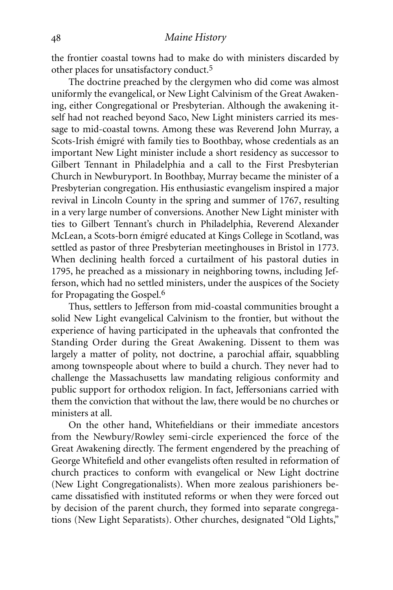the frontier coastal towns had to make do with ministers discarded by other places for unsatisfactory conduct.5

The doctrine preached by the clergymen who did come was almost uniformly the evangelical, or New Light Calvinism of the Great Awakening, either Congregational or Presbyterian. Although the awakening itself had not reached beyond Saco, New Light ministers carried its message to mid-coastal towns. Among these was Reverend John Murray, a Scots-Irish émigré with family ties to Boothbay, whose credentials as an important New Light minister include a short residency as successor to Gilbert Tennant in Philadelphia and a call to the First Presbyterian Church in Newburyport. In Boothbay, Murray became the minister of a Presbyterian congregation. His enthusiastic evangelism inspired a major revival in Lincoln County in the spring and summer of 1767, resulting in a very large number of conversions. Another New Light minister with ties to Gilbert Tennant's church in Philadelphia, Reverend Alexander McLean, a Scots-born émigré educated at Kings College in Scotland, was settled as pastor of three Presbyterian meetinghouses in Bristol in 1773. When declining health forced a curtailment of his pastoral duties in 1795, he preached as a missionary in neighboring towns, including Jefferson, which had no settled ministers, under the auspices of the Society for Propagating the Gospel.6

Thus, settlers to Jefferson from mid-coastal communities brought a solid New Light evangelical Calvinism to the frontier, but without the experience of having participated in the upheavals that confronted the Standing Order during the Great Awakening. Dissent to them was largely a matter of polity, not doctrine, a parochial affair, squabbling among townspeople about where to build a church. They never had to challenge the Massachusetts law mandating religious conformity and public support for orthodox religion. In fact, Jeffersonians carried with them the conviction that without the law, there would be no churches or ministers at all.

On the other hand, Whitefieldians or their immediate ancestors from the Newbury/Rowley semi-circle experienced the force of the Great Awakening directly. The ferment engendered by the preaching of George Whitefield and other evangelists often resulted in reformation of church practices to conform with evangelical or New Light doctrine (New Light Congregationalists). When more zealous parishioners became dissatisfied with instituted reforms or when they were forced out by decision of the parent church, they formed into separate congregations (New Light Separatists). Other churches, designated "Old Lights,"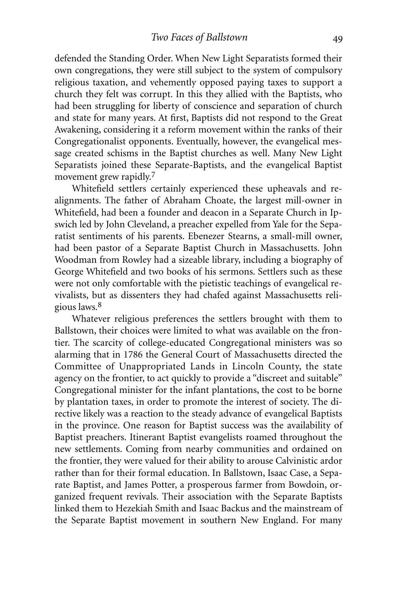defended the Standing Order. When New Light Separatists formed their own congregations, they were still subject to the system of compulsory religious taxation, and vehemently opposed paying taxes to support a church they felt was corrupt. In this they allied with the Baptists, who had been struggling for liberty of conscience and separation of church and state for many years. At first, Baptists did not respond to the Great Awakening, considering it a reform movement within the ranks of their Congregationalist opponents. Eventually, however, the evangelical message created schisms in the Baptist churches as well. Many New Light Separatists joined these Separate-Baptists, and the evangelical Baptist movement grew rapidly.<sup>7</sup>

Whitefield settlers certainly experienced these upheavals and realignments. The father of Abraham Choate, the largest mill-owner in Whitefield, had been a founder and deacon in a Separate Church in Ipswich led by John Cleveland, a preacher expelled from Yale for the Separatist sentiments of his parents. Ebenezer Stearns, a small-mill owner, had been pastor of a Separate Baptist Church in Massachusetts. John Woodman from Rowley had a sizeable library, including a biography of George Whitefield and two books of his sermons. Settlers such as these were not only comfortable with the pietistic teachings of evangelical revivalists, but as dissenters they had chafed against Massachusetts religious laws.8

Whatever religious preferences the settlers brought with them to Ballstown, their choices were limited to what was available on the frontier. The scarcity of college-educated Congregational ministers was so alarming that in 1786 the General Court of Massachusetts directed the Committee of Unappropriated Lands in Lincoln County, the state agency on the frontier, to act quickly to provide a "discreet and suitable" Congregational minister for the infant plantations, the cost to be borne by plantation taxes, in order to promote the interest of society. The directive likely was a reaction to the steady advance of evangelical Baptists in the province. One reason for Baptist success was the availability of Baptist preachers. Itinerant Baptist evangelists roamed throughout the new settlements. Coming from nearby communities and ordained on the frontier, they were valued for their ability to arouse Calvinistic ardor rather than for their formal education. In Ballstown, Isaac Case, a Separate Baptist, and James Potter, a prosperous farmer from Bowdoin, organized frequent revivals. Their association with the Separate Baptists linked them to Hezekiah Smith and Isaac Backus and the mainstream of the Separate Baptist movement in southern New England. For many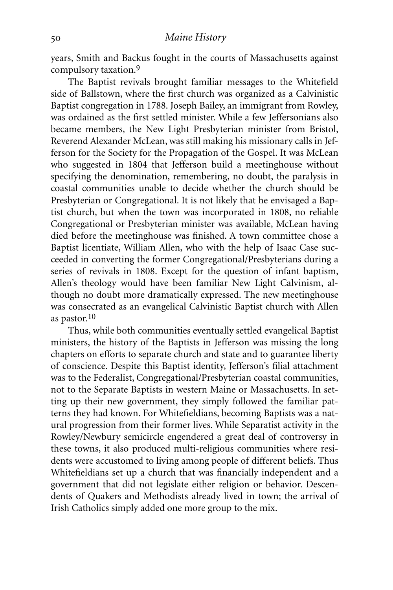years, Smith and Backus fought in the courts of Massachusetts against compulsory taxation.9

The Baptist revivals brought familiar messages to the Whitefield side of Ballstown, where the first church was organized as a Calvinistic Baptist congregation in 1788. Joseph Bailey, an immigrant from Rowley, was ordained as the first settled minister. While a few Jeffersonians also became members, the New Light Presbyterian minister from Bristol, Reverend Alexander McLean, was still making his missionary calls in Jefferson for the Society for the Propagation of the Gospel. It was McLean who suggested in 1804 that Jefferson build a meetinghouse without specifying the denomination, remembering, no doubt, the paralysis in coastal communities unable to decide whether the church should be Presbyterian or Congregational. It is not likely that he envisaged a Baptist church, but when the town was incorporated in 1808, no reliable Congregational or Presbyterian minister was available, McLean having died before the meetinghouse was finished. A town committee chose a Baptist licentiate, William Allen, who with the help of Isaac Case succeeded in converting the former Congregational/Presbyterians during a series of revivals in 1808. Except for the question of infant baptism, Allen's theology would have been familiar New Light Calvinism, although no doubt more dramatically expressed. The new meetinghouse was consecrated as an evangelical Calvinistic Baptist church with Allen as pastor. 10

Thus, while both communities eventually settled evangelical Baptist ministers, the history of the Baptists in Jefferson was missing the long chapters on efforts to separate church and state and to guarantee liberty of conscience. Despite this Baptist identity, Jefferson's filial attachment was to the Federalist, Congregational/Presbyterian coastal communities, not to the Separate Baptists in western Maine or Massachusetts. In setting up their new government, they simply followed the familiar patterns they had known. For Whitefieldians, becoming Baptists was a natural progression from their former lives. While Separatist activity in the Rowley/Newbury semicircle engendered a great deal of controversy in these towns, it also produced multi-religious communities where residents were accustomed to living among people of different beliefs. Thus Whitefieldians set up a church that was financially independent and a government that did not legislate either religion or behavior. Descendents of Quakers and Methodists already lived in town; the arrival of Irish Catholics simply added one more group to the mix.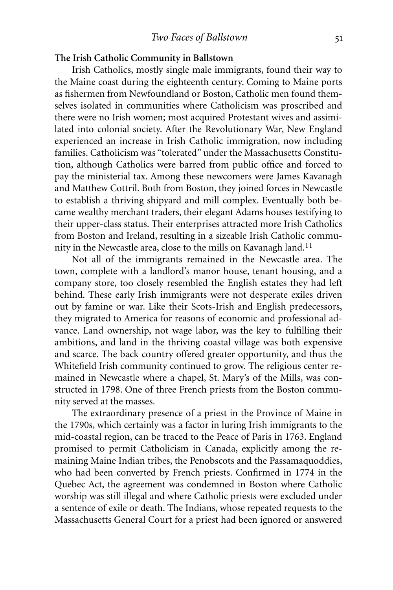#### **The Irish Catholic Community in Ballstown**

Irish Catholics, mostly single male immigrants, found their way to the Maine coast during the eighteenth century. Coming to Maine ports as fishermen from Newfoundland or Boston, Catholic men found themselves isolated in communities where Catholicism was proscribed and there were no Irish women; most acquired Protestant wives and assimilated into colonial society. After the Revolutionary War, New England experienced an increase in Irish Catholic immigration, now including families. Catholicism was "tolerated" under the Massachusetts Constitution, although Catholics were barred from public office and forced to pay the ministerial tax. Among these newcomers were James Kavanagh and Matthew Cottril. Both from Boston, they joined forces in Newcastle to establish a thriving shipyard and mill complex. Eventually both became wealthy merchant traders, their elegant Adams houses testifying to their upper-class status. Their enterprises attracted more Irish Catholics from Boston and Ireland, resulting in a sizeable Irish Catholic community in the Newcastle area, close to the mills on Kavanagh land.<sup>11</sup>

Not all of the immigrants remained in the Newcastle area. The town, complete with a landlord's manor house, tenant housing, and a company store, too closely resembled the English estates they had left behind. These early Irish immigrants were not desperate exiles driven out by famine or war. Like their Scots-Irish and English predecessors, they migrated to America for reasons of economic and professional advance. Land ownership, not wage labor, was the key to fulfilling their ambitions, and land in the thriving coastal village was both expensive and scarce. The back country offered greater opportunity, and thus the Whitefield Irish community continued to grow. The religious center remained in Newcastle where a chapel, St. Mary's of the Mills, was constructed in 1798. One of three French priests from the Boston community served at the masses.

The extraordinary presence of a priest in the Province of Maine in the 1790s, which certainly was a factor in luring Irish immigrants to the mid-coastal region, can be traced to the Peace of Paris in 1763. England promised to permit Catholicism in Canada, explicitly among the remaining Maine Indian tribes, the Penobscots and the Passamaquoddies, who had been converted by French priests. Confirmed in 1774 in the Quebec Act, the agreement was condemned in Boston where Catholic worship was still illegal and where Catholic priests were excluded under a sentence of exile or death. The Indians, whose repeated requests to the Massachusetts General Court for a priest had been ignored or answered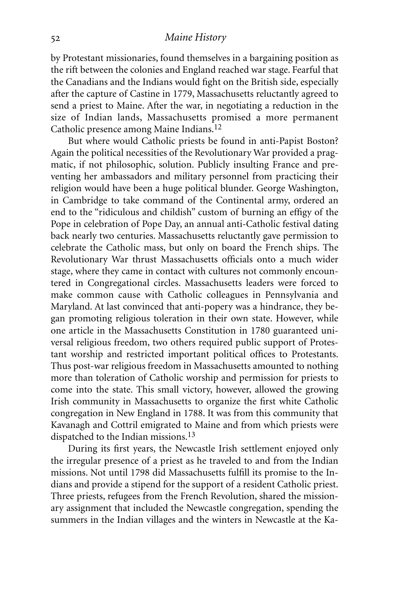#### *Maine History*

by Protestant missionaries, found themselves in a bargaining position as the rift between the colonies and England reached war stage. Fearful that the Canadians and the Indians would fight on the British side, especially after the capture of Castine in 1779, Massachusetts reluctantly agreed to send a priest to Maine. After the war, in negotiating a reduction in the size of Indian lands, Massachusetts promised a more permanent Catholic presence among Maine Indians.12

But where would Catholic priests be found in anti-Papist Boston? Again the political necessities of the Revolutionary War provided a pragmatic, if not philosophic, solution. Publicly insulting France and preventing her ambassadors and military personnel from practicing their religion would have been a huge political blunder. George Washington, in Cambridge to take command of the Continental army, ordered an end to the "ridiculous and childish" custom of burning an effigy of the Pope in celebration of Pope Day, an annual anti-Catholic festival dating back nearly two centuries. Massachusetts reluctantly gave permission to celebrate the Catholic mass, but only on board the French ships. The Revolutionary War thrust Massachusetts officials onto a much wider stage, where they came in contact with cultures not commonly encountered in Congregational circles. Massachusetts leaders were forced to make common cause with Catholic colleagues in Pennsylvania and Maryland. At last convinced that anti-popery was a hindrance, they began promoting religious toleration in their own state. However, while one article in the Massachusetts Constitution in 1780 guaranteed universal religious freedom, two others required public support of Protestant worship and restricted important political offices to Protestants. Thus post-war religious freedom in Massachusetts amounted to nothing more than toleration of Catholic worship and permission for priests to come into the state. This small victory, however, allowed the growing Irish community in Massachusetts to organize the first white Catholic congregation in New England in 1788. It was from this community that Kavanagh and Cottril emigrated to Maine and from which priests were dispatched to the Indian missions.13

During its first years, the Newcastle Irish settlement enjoyed only the irregular presence of a priest as he traveled to and from the Indian missions. Not until 1798 did Massachusetts fulfill its promise to the Indians and provide a stipend for the support of a resident Catholic priest. Three priests, refugees from the French Revolution, shared the missionary assignment that included the Newcastle congregation, spending the summers in the Indian villages and the winters in Newcastle at the Ka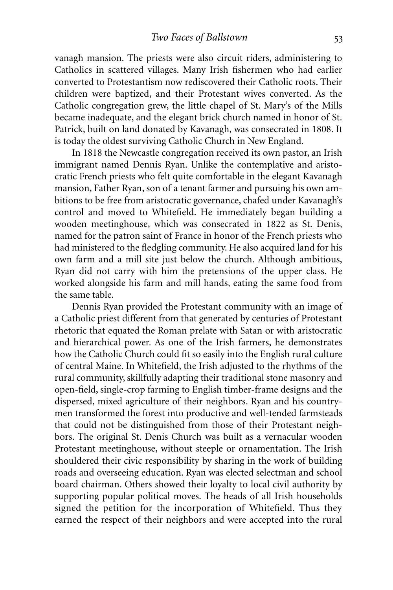vanagh mansion. The priests were also circuit riders, administering to Catholics in scattered villages. Many Irish fishermen who had earlier converted to Protestantism now rediscovered their Catholic roots. Their children were baptized, and their Protestant wives converted. As the Catholic congregation grew, the little chapel of St. Mary's of the Mills became inadequate, and the elegant brick church named in honor of St. Patrick, built on land donated by Kavanagh, was consecrated in 1808. It is today the oldest surviving Catholic Church in New England.

In 1818 the Newcastle congregation received its own pastor, an Irish immigrant named Dennis Ryan. Unlike the contemplative and aristocratic French priests who felt quite comfortable in the elegant Kavanagh mansion, Father Ryan, son of a tenant farmer and pursuing his own ambitions to be free from aristocratic governance, chafed under Kavanagh's control and moved to Whitefield. He immediately began building a wooden meetinghouse, which was consecrated in 1822 as St. Denis, named for the patron saint of France in honor of the French priests who had ministered to the fledgling community. He also acquired land for his own farm and a mill site just below the church. Although ambitious, Ryan did not carry with him the pretensions of the upper class. He worked alongside his farm and mill hands, eating the same food from the same table.

Dennis Ryan provided the Protestant community with an image of a Catholic priest different from that generated by centuries of Protestant rhetoric that equated the Roman prelate with Satan or with aristocratic and hierarchical power. As one of the Irish farmers, he demonstrates how the Catholic Church could fit so easily into the English rural culture of central Maine. In Whitefield, the Irish adjusted to the rhythms of the rural community, skillfully adapting their traditional stone masonry and open-field, single-crop farming to English timber-frame designs and the dispersed, mixed agriculture of their neighbors. Ryan and his countrymen transformed the forest into productive and well-tended farmsteads that could not be distinguished from those of their Protestant neighbors. The original St. Denis Church was built as a vernacular wooden Protestant meetinghouse, without steeple or ornamentation. The Irish shouldered their civic responsibility by sharing in the work of building roads and overseeing education. Ryan was elected selectman and school board chairman. Others showed their loyalty to local civil authority by supporting popular political moves. The heads of all Irish households signed the petition for the incorporation of Whitefield. Thus they earned the respect of their neighbors and were accepted into the rural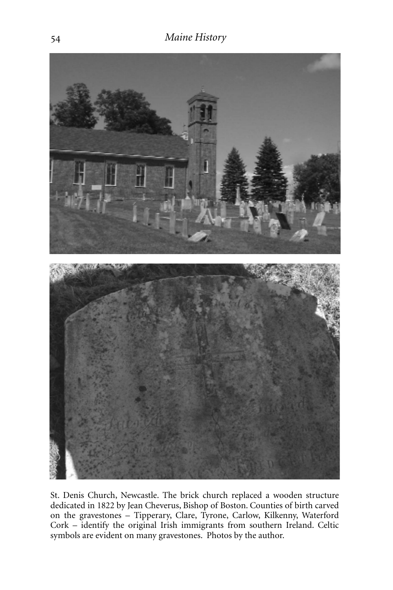

St. Denis Church, Newcastle. The brick church replaced a wooden structure dedicated in 1822 by Jean Cheverus, Bishop of Boston. Counties of birth carved on the gravestones – Tipperary, Clare, Tyrone, Carlow, Kilkenny, Waterford Cork – identify the original Irish immigrants from southern Ireland. Celtic symbols are evident on many gravestones. Photos by the author.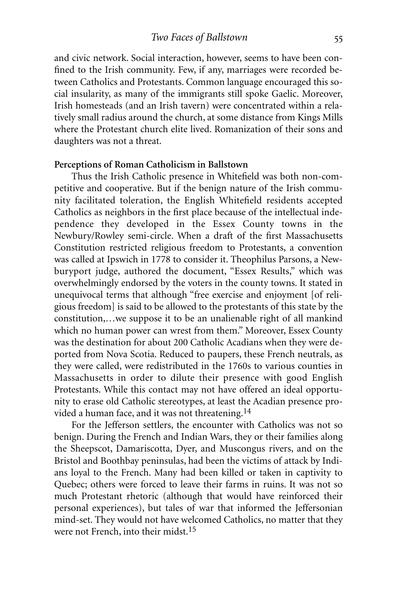and civic network. Social interaction, however, seems to have been confined to the Irish community. Few, if any, marriages were recorded between Catholics and Protestants. Common language encouraged this social insularity, as many of the immigrants still spoke Gaelic. Moreover, Irish homesteads (and an Irish tavern) were concentrated within a relatively small radius around the church, at some distance from Kings Mills where the Protestant church elite lived. Romanization of their sons and daughters was not a threat.

#### **Perceptions of Roman Catholicism in Ballstown**

Thus the Irish Catholic presence in Whitefield was both non-competitive and cooperative. But if the benign nature of the Irish community facilitated toleration, the English Whitefield residents accepted Catholics as neighbors in the first place because of the intellectual independence they developed in the Essex County towns in the Newbury/Rowley semi-circle. When a draft of the first Massachusetts Constitution restricted religious freedom to Protestants, a convention was called at Ipswich in 1778 to consider it. Theophilus Parsons, a Newburyport judge, authored the document, "Essex Results," which was overwhelmingly endorsed by the voters in the county towns. It stated in unequivocal terms that although "free exercise and enjoyment [of religious freedom] is said to be allowed to the protestants of this state by the constitution,…we suppose it to be an unalienable right of all mankind which no human power can wrest from them." Moreover, Essex County was the destination for about 200 Catholic Acadians when they were deported from Nova Scotia. Reduced to paupers, these French neutrals, as they were called, were redistributed in the 1760s to various counties in Massachusetts in order to dilute their presence with good English Protestants. While this contact may not have offered an ideal opportunity to erase old Catholic stereotypes, at least the Acadian presence provided a human face, and it was not threatening.14

For the Jefferson settlers, the encounter with Catholics was not so benign. During the French and Indian Wars, they or their families along the Sheepscot, Damariscotta, Dyer, and Muscongus rivers, and on the Bristol and Boothbay peninsulas, had been the victims of attack by Indians loyal to the French. Many had been killed or taken in captivity to Quebec; others were forced to leave their farms in ruins. It was not so much Protestant rhetoric (although that would have reinforced their personal experiences), but tales of war that informed the Jeffersonian mind-set. They would not have welcomed Catholics, no matter that they were not French, into their midst.15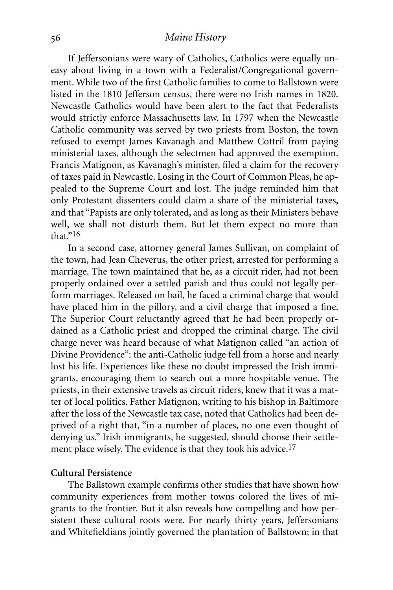#### *Maine History*

If Jeffersonians were wary of Catholics, Catholics were equally uneasy about living in a town with a Federalist/Congregational government. While two of the first Catholic families to come to Ballstown were listed in the 1810 Jefferson census, there were no Irish names in 1820. Newcastle Catholics would have been alert to the fact that Federalists would strictly enforce Massachusetts law. In 1797 when the Newcastle Catholic community was served by two priests from Boston, the town refused to exempt James Kavanagh and Matthew Cottril from paying ministerial taxes, although the selectmen had approved the exemption. Francis Matignon, as Kavanagh's minister, filed a claim for the recovery of taxes paid in Newcastle. Losing in the Court of Common Pleas, he appealed to the Supreme Court and lost. The judge reminded him that only Protestant dissenters could claim a share of the ministerial taxes, and that "Papists are only tolerated, and as long as their Ministers behave well, we shall not disturb them. But let them expect no more than that."16

In a second case, attorney general James Sullivan, on complaint of the town, had Jean Cheverus, the other priest, arrested for performing a marriage. The town maintained that he, as a circuit rider, had not been properly ordained over a settled parish and thus could not legally perform marriages. Released on bail, he faced a criminal charge that would have placed him in the pillory, and a civil charge that imposed a fine. The Superior Court reluctantly agreed that he had been properly ordained as a Catholic priest and dropped the criminal charge. The civil charge never was heard because of what Matignon called "an action of Divine Providence": the anti-Catholic judge fell from a horse and nearly lost his life. Experiences like these no doubt impressed the Irish immigrants, encouraging them to search out a more hospitable venue. The priests, in their extensive travels as circuit riders, knew that it was a matter of local politics. Father Matignon, writing to his bishop in Baltimore after the loss of the Newcastle tax case, noted that Catholics had been deprived of a right that, "in a number of places, no one even thought of denying us." Irish immigrants, he suggested, should choose their settlement place wisely. The evidence is that they took his advice.<sup>17</sup>

#### **Cultural Persistence**

The Ballstown example confirms other studies that have shown how community experiences from mother towns colored the lives of migrants to the frontier. But it also reveals how compelling and how persistent these cultural roots were. For nearly thirty years, Jeffersonians and Whitefieldians jointly governed the plantation of Ballstown; in that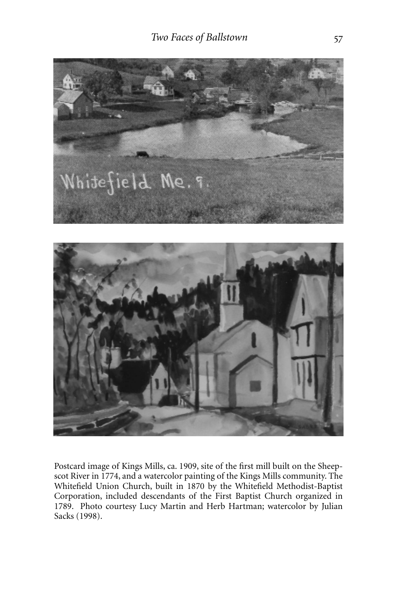

Postcard image of Kings Mills, ca. 1909, site of the first mill built on the Sheepscot River in 1774, and a watercolor painting of the Kings Mills community. The Whitefield Union Church, built in 1870 by the Whitefield Methodist-Baptist Corporation, included descendants of the First Baptist Church organized in 1789. Photo courtesy Lucy Martin and Herb Hartman; watercolor by Julian Sacks (1998).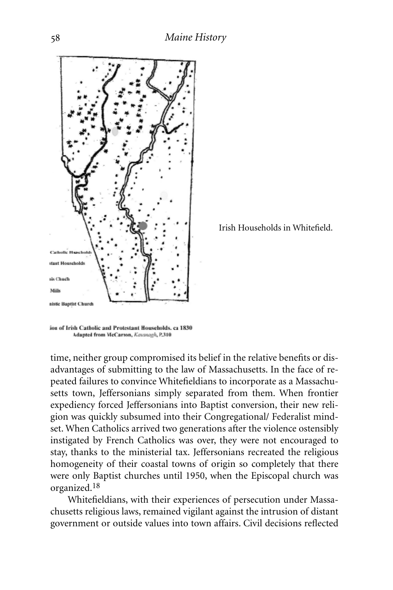

Irish Households in Whitefield.

time, neither group compromised its belief in the relative benefits or disadvantages of submitting to the law of Massachusetts. In the face of repeated failures to convince Whitefieldians to incorporate as a Massachusetts town, Jeffersonians simply separated from them. When frontier expediency forced Jeffersonians into Baptist conversion, their new religion was quickly subsumed into their Congregational/ Federalist mindset. When Catholics arrived two generations after the violence ostensibly instigated by French Catholics was over, they were not encouraged to stay, thanks to the ministerial tax. Jeffersonians recreated the religious homogeneity of their coastal towns of origin so completely that there were only Baptist churches until 1950, when the Episcopal church was organized.18

Whitefieldians, with their experiences of persecution under Massachusetts religious laws, remained vigilant against the intrusion of distant government or outside values into town affairs. Civil decisions reflected

tion of Irish Catholic and Protestant Households. ca 1830 Adapted from McCarron, Kavanagh, P.310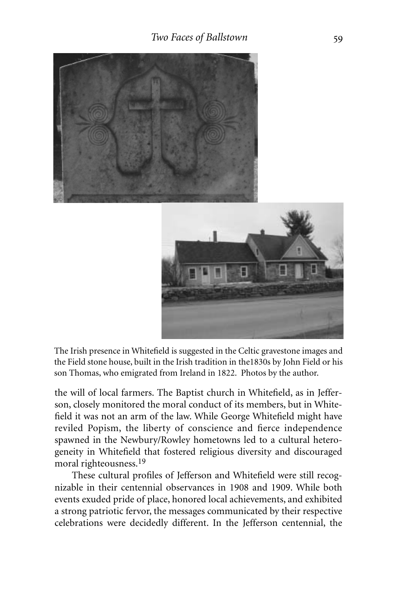



The Irish presence in Whitefield is suggested in the Celtic gravestone images and the Field stone house, built in the Irish tradition in the1830s by John Field or his son Thomas, who emigrated from Ireland in 1822. Photos by the author.

the will of local farmers. The Baptist church in Whitefield, as in Jefferson, closely monitored the moral conduct of its members, but in Whitefield it was not an arm of the law. While George Whitefield might have reviled Popism, the liberty of conscience and fierce independence spawned in the Newbury/Rowley hometowns led to a cultural heterogeneity in Whitefield that fostered religious diversity and discouraged moral righteousness.<sup>19</sup>

These cultural profiles of Jefferson and Whitefield were still recognizable in their centennial observances in 1908 and 1909. While both events exuded pride of place, honored local achievements, and exhibited a strong patriotic fervor, the messages communicated by their respective celebrations were decidedly different. In the Jefferson centennial, the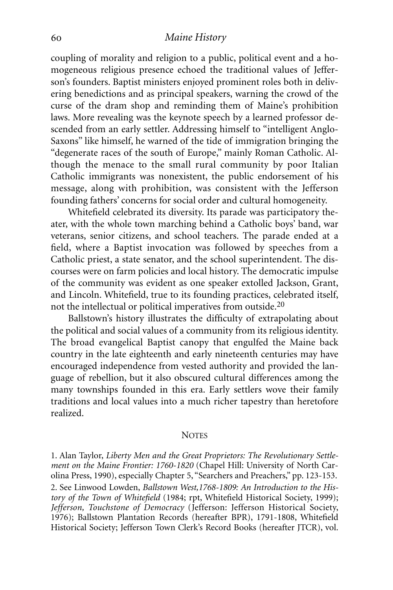#### *Maine History*

coupling of morality and religion to a public, political event and a homogeneous religious presence echoed the traditional values of Jefferson's founders. Baptist ministers enjoyed prominent roles both in delivering benedictions and as principal speakers, warning the crowd of the curse of the dram shop and reminding them of Maine's prohibition laws. More revealing was the keynote speech by a learned professor descended from an early settler. Addressing himself to "intelligent Anglo-Saxons" like himself, he warned of the tide of immigration bringing the "degenerate races of the south of Europe," mainly Roman Catholic. Although the menace to the small rural community by poor Italian Catholic immigrants was nonexistent, the public endorsement of his message, along with prohibition, was consistent with the Jefferson founding fathers' concerns for social order and cultural homogeneity.

Whitefield celebrated its diversity. Its parade was participatory theater, with the whole town marching behind a Catholic boys' band, war veterans, senior citizens, and school teachers. The parade ended at a field, where a Baptist invocation was followed by speeches from a Catholic priest, a state senator, and the school superintendent. The discourses were on farm policies and local history. The democratic impulse of the community was evident as one speaker extolled Jackson, Grant, and Lincoln. Whitefield, true to its founding practices, celebrated itself, not the intellectual or political imperatives from outside.20

Ballstown's history illustrates the difficulty of extrapolating about the political and social values of a community from its religious identity. The broad evangelical Baptist canopy that engulfed the Maine back country in the late eighteenth and early nineteenth centuries may have encouraged independence from vested authority and provided the language of rebellion, but it also obscured cultural differences among the many townships founded in this era. Early settlers wove their family traditions and local values into a much richer tapestry than heretofore realized.

#### **NOTES**

1. Alan Taylor, *Liberty Men and the Great Proprietors: The Revolutionary Settlement on the Maine Frontier: 1760-1820* (Chapel Hill: University of North Carolina Press, 1990), especially Chapter 5, "Searchers and Preachers," pp. 123-153. 2. See Linwood Lowden, *Ballstown West,1768-1809: An Introduction to the History of the Town of Whitefield* (1984; rpt, Whitefield Historical Society, 1999); *Jefferson, Touchstone of Democracy* (Jefferson: Jefferson Historical Society, 1976); Ballstown Plantation Records (hereafter BPR), 1791-1808, Whitefield Historical Society; Jefferson Town Clerk's Record Books (hereafter JTCR), vol.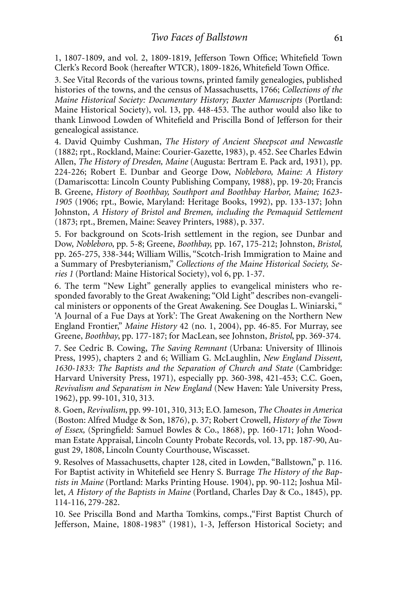1, 1807-1809, and vol. 2, 1809-1819, Jefferson Town Office; Whitefield Town Clerk's Record Book (hereafter WTCR), 1809-1826, Whitefield Town Office.

3. See Vital Records of the various towns, printed family genealogies, published histories of the towns, and the census of Massachusetts, 1766; *Collections of the Maine Historical Society: Documentary History; Baxter Manuscripts* (Portland: Maine Historical Society), vol. 13, pp. 448-453. The author would also like to thank Linwood Lowden of Whitefield and Priscilla Bond of Jefferson for their genealogical assistance.

4. David Quimby Cushman, *The History of Ancient Sheepscot and Newcastle* (1882; rpt., Rockland, Maine: Courier-Gazette, 1983), p. 452. See Charles Edwin Allen, *The History of Dresden, Maine* (Augusta: Bertram E. Pack ard, 1931)*,* pp. 224-226; Robert E. Dunbar and George Dow, *Nobleboro, Maine: A History* (Damariscotta: Lincoln County Publishing Company, 1988), pp. 19-20; Francis B. Greene, *History of Boothbay, Southport and Boothbay Harbor, Maine; 1623- 1905* (1906; rpt., Bowie, Maryland: Heritage Books, 1992), pp. 133-137; John Johnston, *A History of Bristol and Bremen, including the Pemaquid Settlement* (1873; rpt., Bremen, Maine: Seavey Printers, 1988), p. 337.

5. For background on Scots-Irish settlement in the region, see Dunbar and Dow, *Nobleboro*, pp. 5-8; Greene, *Boothbay,* pp. 167, 175-212; Johnston, *Bristol,* pp. 265-275, 338-344; William Willis, "Scotch-Irish Immigration to Maine and a Summary of Presbyterianism," *Collections of the Maine Historical Society, Series 1* (Portland: Maine Historical Society), vol 6, pp. 1-37.

6. The term "New Light" generally applies to evangelical ministers who responded favorably to the Great Awakening; "Old Light" describes non-evangelical ministers or opponents of the Great Awakening. See Douglas L. Winiarski, " 'A Journal of a Fue Days at York': The Great Awakening on the Northern New England Frontier," *Maine History* 42 (no. 1, 2004), pp. 46-85. For Murray, see Greene, *Boothbay*, pp. 177-187; for MacLean, see Johnston, *Bristol*, pp. 369-374.

7. See Cedric B. Cowing, *The Saving Remnant* (Urbana: University of Illinois Press, 1995), chapters 2 and 6; William G. McLaughlin, *New England Dissent, 1630-1833: The Baptists and the Separation of Church and State* (Cambridge: Harvard University Press, 1971), especially pp. 360-398, 421-453; C.C. Goen, *Revivalism and Separatism in New England* (New Haven: Yale University Press, 1962), pp. 99-101, 310, 313.

8. Goen, *Revivalism*, pp. 99-101, 310, 313; E.O. Jameson, *The Choates in America* (Boston: Alfred Mudge & Son, 1876), p. 37; Robert Crowell, *History of the Town of Essex,* (Springfield: Samuel Bowles & Co., 1868), pp. 160-171; John Woodman Estate Appraisal, Lincoln County Probate Records, vol. 13, pp. 187-90, August 29, 1808, Lincoln County Courthouse, Wiscasset.

9. Resolves of Massachusetts, chapter 128, cited in Lowden, "Ballstown," p. 116. For Baptist activity in Whitefield see Henry S. Burrage *The History of the Baptists in Maine* (Portland: Marks Printing House. 1904), pp. 90-112; Joshua Millet, *A History of the Baptists in Maine* (Portland, Charles Day & Co., 1845), pp. 114-116, 279-282.

10. See Priscilla Bond and Martha Tomkins, comps.,"First Baptist Church of Jefferson, Maine, 1808-1983" (1981), 1-3, Jefferson Historical Society; and